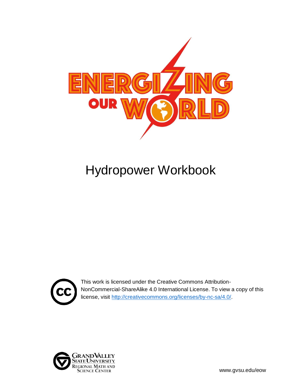

# Hydropower Workbook



This work is licensed under the Creative Commons Attribution-NonCommercial-ShareAlike 4.0 International License. To view a copy of this license, visit [http://creativecommons.org/licenses/by-nc-sa/4.0/.](http://creativecommons.org/licenses/by-nc-sa/4.0/)

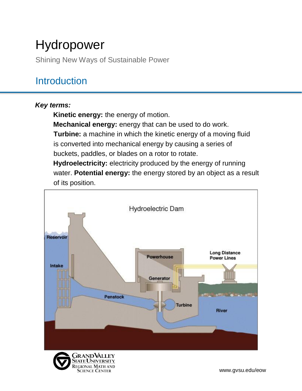# Hydropower

Shining New Ways of Sustainable Power

## **Introduction**

### *Key terms:*

**Kinetic energy:** the energy of motion.

Science Center

**Mechanical energy:** energy that can be used to do work. **Turbine:** a machine in which the kinetic energy of a moving fluid is converted into mechanical energy by causing a series of buckets, paddles, or blades on a rotor to rotate.

**Hydroelectricity:** electricity produced by the energy of running water. **Potential energy:** the energy stored by an object as a result of its position.

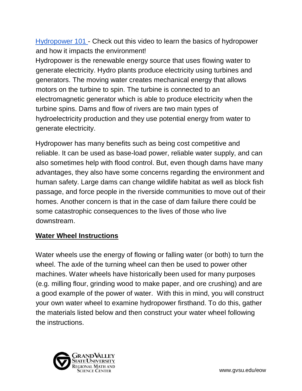[Hydropower 101](https://youtu.be/q8HmRLCgDAI) - Check out this video to learn the basics of hydropower and how it impacts the environment!

Hydropower is the renewable energy source that uses flowing water to generate electricity. Hydro plants produce electricity using turbines and generators. The moving water creates mechanical energy that allows motors on the turbine to spin. The turbine is connected to an electromagnetic generator which is able to produce electricity when the turbine spins. Dams and flow of rivers are two main types of hydroelectricity production and they use potential energy from water to generate electricity.

Hydropower has many benefits such as being cost competitive and reliable. It can be used as base-load power, reliable water supply, and can also sometimes help with flood control. But, even though dams have many advantages, they also have some concerns regarding the environment and human safety. Large dams can change wildlife habitat as well as block fish passage, and force people in the riverside communities to move out of their homes. Another concern is that in the case of dam failure there could be some catastrophic consequences to the lives of those who live downstream.

#### **Water Wheel Instructions**

Water wheels use the energy of flowing or falling water (or both) to turn the wheel. The axle of the turning wheel can then be used to power other machines. Water wheels have historically been used for many purposes (e.g. milling flour, grinding wood to make paper, and ore crushing) and are a good example of the power of water. With this in mind, you will construct your own water wheel to examine hydropower firsthand. To do this, gather the materials listed below and then construct your water wheel following the instructions.

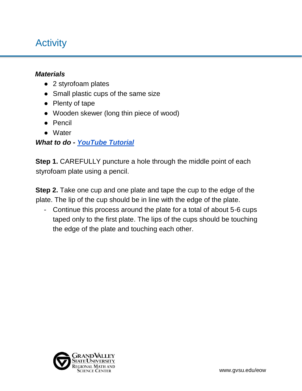## **Activity**

#### *Materials*

- 2 styrofoam plates
- Small plastic cups of the same size
- Plenty of tape
- Wooden skewer (long thin piece of wood)
- Pencil
- Water

### *What to do - [YouTube Tutorial](https://youtu.be/1FpGvLKW0iY)*

**Step 1.** CAREFULLY puncture a hole through the middle point of each styrofoam plate using a pencil.

**Step 2.** Take one cup and one plate and tape the cup to the edge of the plate. The lip of the cup should be in line with the edge of the plate.

- Continue this process around the plate for a total of about 5-6 cups taped only to the first plate. The lips of the cups should be touching the edge of the plate and touching each other.

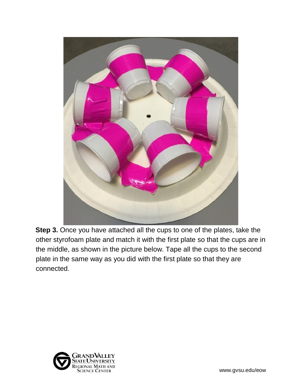

**Step 3.** Once you have attached all the cups to one of the plates, take the other styrofoam plate and match it with the first plate so that the cups are in the middle, as shown in the picture below. Tape all the cups to the second plate in the same way as you did with the first plate so that they are connected.

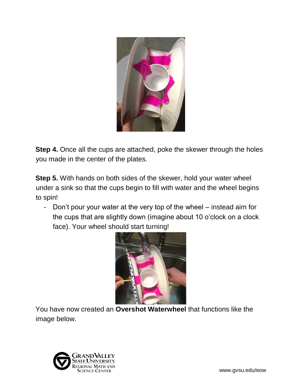

**Step 4.** Once all the cups are attached, poke the skewer through the holes you made in the center of the plates.

**Step 5.** With hands on both sides of the skewer, hold your water wheel under a sink so that the cups begin to fill with water and the wheel begins to spin!

- Don't pour your water at the very top of the wheel – instead aim for the cups that are slightly down (imagine about 10 o'clock on a clock face). Your wheel should start turning!



You have now created an **Overshot Waterwheel** that functions like the image below.

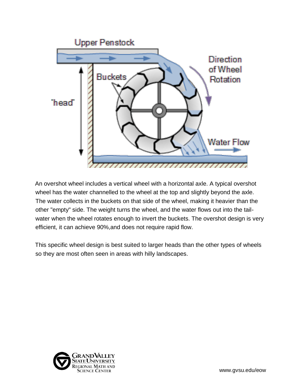

An overshot wheel includes a vertical wheel with a horizontal axle. A typical overshot wheel has the water channelled to the wheel at the top and slightly beyond the axle. The water collects in the buckets on that side of the wheel, making it heavier than the other "empty" side. The weight turns the wheel, and the water flows out into the tailwater when the wheel rotates enough to invert the buckets. The overshot design is very efficient, it can achieve 90%,and does not require rapid flow.

This specific wheel design is best suited to larger heads than the other types of wheels so they are most often seen in areas with hilly landscapes.

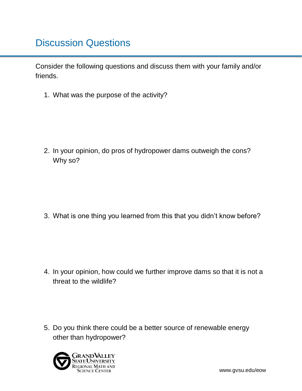## Discussion Questions

Consider the following questions and discuss them with your family and/or friends.

1. What was the purpose of the activity?

2. In your opinion, do pros of hydropower dams outweigh the cons? Why so?

3. What is one thing you learned from this that you didn't know before?

- 4. In your opinion, how could we further improve dams so that it is not a threat to the wildlife?
- 5. Do you think there could be a better source of renewable energy other than hydropower?